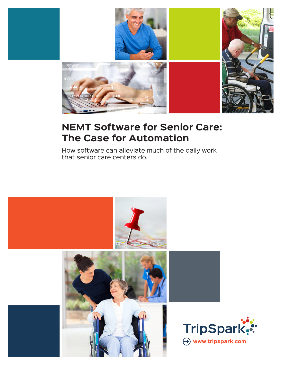

# **NEMT Software for Senior Care: The Case for Automation**

How software can alleviate much of the daily work that senior care centers do.

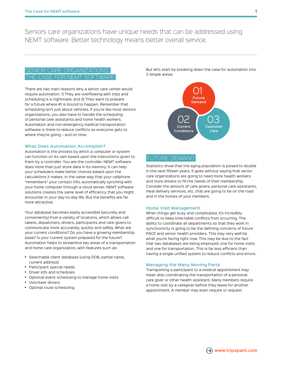Seniors care organizations have unique needs that can be addressed using NEMT software. Better technology means better overall service.

# SENIOR CARE ORGANIZATIONS: CASE FOR NEMT SOFTWARE

There are two main reasons why a senior care center would require automation. 1) They are overflowing with trips and scheduling is a nightmare; and 2) They want to prepare for a future where #1 is bound to happen. Remember that scheduling isn't just about vehicles. If you're like most seniors organizations, you also have to handle the scheduling of personal care assistants and home health workers. Automation and non-emergency medical transportation software is there to reduce conflicts so everyone gets to where they're going – and on time.

#### **What Does Automation Accomplish?**

Automation is the process by which a computer or system can function on its own based upon the instructions given to them by a controller. You are the controller. NEMT software does more than just store data in its memory. It can help your schedulers make better choices based upon the calculations it makes. In the same way that your cellphone "remembers" your contact info, automatically synching with your home computer through a cloud server, NEMT software solutions creates the same level of efficiency that you might encounter in your day-to-day life. But the benefits are far more attractive.

Your database becomes easily accessible (securely and conveniently) from a variety of locations, which allows call takers, dispatchers, drivers, participants and care givers to communicate more accurately, quickly and safely. What are your current conditions? Do you have a growing membership base? Is your current system prepared for the future? Automation helps to streamline key areas of a transportation and home care organization, with features such as:

- **•** Searchable client database (using DOB, partial name, current address)
- **•** Participant special needs
- **•** Driver info and schedules
- **•** Optional event scheduling to manage home visits
- **•** Volunteer drivers
- **•** Optimal route scheduling

But let's start by breaking down the case for automation into 3 simple areas:



## FUTURE DEMAND

Statistics show that the aging population is poised to double in the next fifteen years. It goes without saying that senior care organizations are going to need more health workers and more drivers to fill the needs of their membership. Consider the amount of care givers, personal care assistants, meal delivery services, etc. that are going to be on the road and in the homes of your members.

#### **Home Visit Management**

When things get busy and complicated, it's incredibly difficult to keep time-table conflicts from occurring. The ability to coordinate all departments so that they work in synchronicity is going to be the defining concerns of future PACE and senior health providers. This may very well be what you're facing right now. This may be due to the fact that two databases are being employed: one for home visits and one for transportation. This is far less efficient than having a single unified system to reduce conflicts and errors.

#### **Managing the Many Moving Parts**

Transporting a participant to a medical appointment may mean also coordinating the transportation of a personal care giver or other health assistant. Many members require a home visit by a caregiver before they leave for another appointment. A member may even require or request